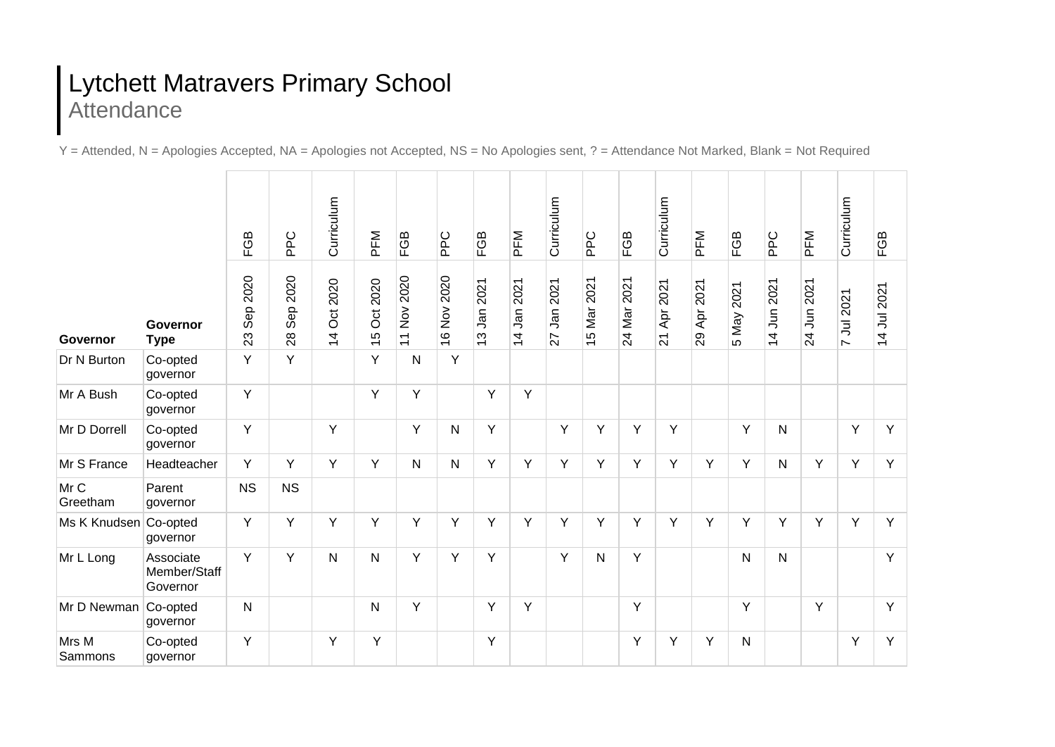## Lytchett Matravers Primary School Attendance

Y = Attended, N = Apologies Accepted, NA = Apologies not Accepted, NS = No Apologies sent, ? = Attendance Not Marked, Blank = Not Required

|                       |                                       | FGB               | PPC                      | Curriculum                           | PFM                        | FGB                        | <b>PPC</b>  | FGB                                                 | PFM                           | Curriculum       | <b>PPC</b>         | FGB         | Curriculum                     | PFM                          | FGB           | <b>PPC</b>                              | PFM                                   | Curriculum | FGB         |
|-----------------------|---------------------------------------|-------------------|--------------------------|--------------------------------------|----------------------------|----------------------------|-------------|-----------------------------------------------------|-------------------------------|------------------|--------------------|-------------|--------------------------------|------------------------------|---------------|-----------------------------------------|---------------------------------------|------------|-------------|
| Governor              | Governor<br><b>Type</b>               | 2020<br>Sep<br>23 | 2020<br><b>Sep</b><br>28 | 2020<br><b>Oct</b><br>$\overline{4}$ | 2020<br>ð<br>$\frac{6}{1}$ | Nov 2020<br>$\overline{z}$ | 16 Nov 2020 | 2021<br><b>Jan</b><br>ო<br>$\overline{\phantom{0}}$ | 2021<br>Jan<br>$\overline{4}$ | 2021<br>٦ā<br>77 | 2021<br>Mar<br>LO. | 24 Mar 2021 | 2021<br>Apr<br>$\overline{21}$ | 2021<br>$\overline{A}$<br>29 | 2021<br>5 May | 2021<br>$\overline{5}$<br>$\frac{4}{1}$ | 2021<br>$\tilde{5}$<br>$\overline{2}$ | 7 Jul 2021 | 14 Jul 2021 |
| Dr N Burton           | Co-opted<br>governor                  | Y                 | Y                        |                                      | Y                          | N                          | Y           |                                                     |                               |                  |                    |             |                                |                              |               |                                         |                                       |            |             |
| Mr A Bush             | Co-opted<br>governor                  | Y                 |                          |                                      | Y                          | Y                          |             | Y                                                   | Y                             |                  |                    |             |                                |                              |               |                                         |                                       |            |             |
| Mr D Dorrell          | Co-opted<br>governor                  | Y                 |                          | Υ                                    |                            | Y                          | N           | Υ                                                   |                               | Y                | Y                  | Y           | Y                              |                              | Y             | N                                       |                                       | Y          | Ÿ           |
| Mr S France           | Headteacher                           | Y                 | Y                        | Y                                    | Y                          | N                          | N           | Y                                                   | Y                             | Y                | Y                  | Y           | Y                              | Y                            | Y             | N                                       | Y                                     | Y          | Y           |
| Mr C<br>Greetham      | Parent<br>governor                    | <b>NS</b>         | <b>NS</b>                |                                      |                            |                            |             |                                                     |                               |                  |                    |             |                                |                              |               |                                         |                                       |            |             |
| Ms K Knudsen Co-opted | governor                              | Y                 | Y                        | Y                                    | Y                          | Y                          | Y           | Y                                                   | Y                             | Y                | Y                  | Y           | Y                              | Y                            | Y             | Y                                       | Y                                     | Y          | Y           |
| Mr L Long             | Associate<br>Member/Staff<br>Governor | Y                 | Y                        | $\mathsf{N}$                         | $\mathsf{N}$               | Y                          | Y           | Y                                                   |                               | Y                | $\mathsf{N}$       | Y           |                                |                              | $\mathsf{N}$  | N                                       |                                       |            | Y           |
| Mr D Newman Co-opted  | governor                              | $\mathsf{N}$      |                          |                                      | N                          | Y                          |             | Υ                                                   | Y                             |                  |                    | Y           |                                |                              | Υ             |                                         | Y                                     |            | Y           |
| Mrs M<br>Sammons      | Co-opted<br>governor                  | Y                 |                          | Υ                                    | Υ                          |                            |             | Υ                                                   |                               |                  |                    | Y           | Υ                              | Υ                            | N             |                                         |                                       | Y          | Υ           |